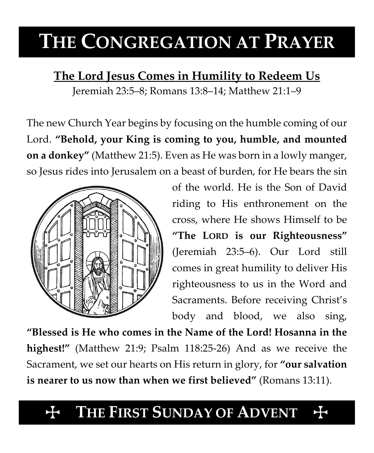# **THE CONGREGATION AT PRAYER**

**The Lord Jesus Comes in Humility to Redeem Us**

Jeremiah 23:5–8; Romans 13:8–14; Matthew 21:1–9

The new Church Year begins by focusing on the humble coming of our Lord. **"Behold, your King is coming to you, humble, and mounted on a donkey"** (Matthew 21:5). Even as He was born in a lowly manger, so Jesus rides into Jerusalem on a beast of burden, for He bears the sin



of the world. He is the Son of David riding to His enthronement on the cross, where He shows Himself to be **"The LORD is our Righteousness"** (Jeremiah 23:5–6). Our Lord still comes in great humility to deliver His righteousness to us in the Word and Sacraments. Before receiving Christ's body and blood, we also sing,

**"Blessed is He who comes in the Name of the Lord! Hosanna in the highest!"** (Matthew 21:9; Psalm 118:25-26) And as we receive the Sacrament, we set our hearts on His return in glory, for **"our salvation is nearer to us now than when we first believed"** (Romans 13:11).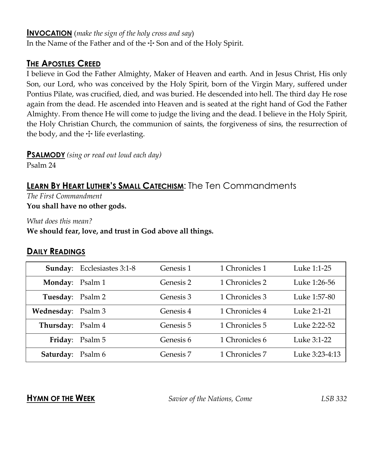#### **INVOCATION** (*make the sign of the holy cross and say*)

In the Name of the Father and of the  $\pm$  Son and of the Holy Spirit.

## **THE APOSTLES CREED**

I believe in God the Father Almighty, Maker of Heaven and earth. And in Jesus Christ, His only Son, our Lord, who was conceived by the Holy Spirit, born of the Virgin Mary, suffered under Pontius Pilate, was crucified, died, and was buried. He descended into hell. The third day He rose again from the dead. He ascended into Heaven and is seated at the right hand of God the Father Almighty. From thence He will come to judge the living and the dead. I believe in the Holy Spirit, the Holy Christian Church, the communion of saints, the forgiveness of sins, the resurrection of the body, and the  $\pm$  life everlasting.

**PSALMODY** *(sing or read out loud each day)*

Psalm 24

## **LEARN BY HEART LUTHER'S SMALL CATECHISM**: The Ten Commandments

*The First Commandment* **You shall have no other gods.**

*What does this mean?*

**We should fear, love, and trust in God above all things.**

### **DAILY READINGS**

|                    | <b>Sunday:</b> Ecclesiastes 3:1-8 | Genesis 1 | 1 Chronicles 1 | Luke 1:1-25    |
|--------------------|-----------------------------------|-----------|----------------|----------------|
| Monday: Psalm 1    |                                   | Genesis 2 | 1 Chronicles 2 | Luke 1:26-56   |
| Tuesday: Psalm 2   |                                   | Genesis 3 | 1 Chronicles 3 | Luke 1:57-80   |
| Wednesday: Psalm 3 |                                   | Genesis 4 | 1 Chronicles 4 | Luke 2:1-21    |
| Thursday: Psalm 4  |                                   | Genesis 5 | 1 Chronicles 5 | Luke 2:22-52   |
|                    | Friday: Psalm 5                   | Genesis 6 | 1 Chronicles 6 | Luke 3:1-22    |
| Saturday: Psalm 6  |                                   | Genesis 7 | 1 Chronicles 7 | Luke 3:23-4:13 |

**HYMN OF THE WEEK** *Savior of the Nations, Come LSB 332*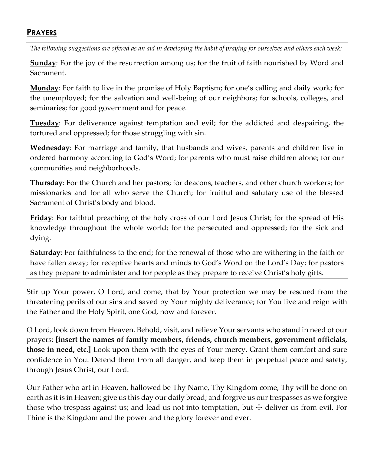## **PRAYERS**

*The following suggestions are offered as an aid in developing the habit of praying for ourselves and others each week:*

**Sunday**: For the joy of the resurrection among us; for the fruit of faith nourished by Word and Sacrament.

**Monday**: For faith to live in the promise of Holy Baptism; for one's calling and daily work; for the unemployed; for the salvation and well-being of our neighbors; for schools, colleges, and seminaries; for good government and for peace.

**Tuesday**: For deliverance against temptation and evil; for the addicted and despairing, the tortured and oppressed; for those struggling with sin.

**Wednesday**: For marriage and family, that husbands and wives, parents and children live in ordered harmony according to God's Word; for parents who must raise children alone; for our communities and neighborhoods.

**Thursday**: For the Church and her pastors; for deacons, teachers, and other church workers; for missionaries and for all who serve the Church; for fruitful and salutary use of the blessed Sacrament of Christ's body and blood.

**Friday**: For faithful preaching of the holy cross of our Lord Jesus Christ; for the spread of His knowledge throughout the whole world; for the persecuted and oppressed; for the sick and dying.

**Saturday**: For faithfulness to the end; for the renewal of those who are withering in the faith or have fallen away; for receptive hearts and minds to God's Word on the Lord's Day; for pastors as they prepare to administer and for people as they prepare to receive Christ's holy gifts.

Stir up Your power, O Lord, and come, that by Your protection we may be rescued from the threatening perils of our sins and saved by Your mighty deliverance; for You live and reign with the Father and the Holy Spirit, one God, now and forever.

O Lord, look down from Heaven. Behold, visit, and relieve Your servants who stand in need of our prayers: **[insert the names of family members, friends, church members, government officials, those in need, etc.]** Look upon them with the eyes of Your mercy. Grant them comfort and sure confidence in You. Defend them from all danger, and keep them in perpetual peace and safety, through Jesus Christ, our Lord.

Our Father who art in Heaven, hallowed be Thy Name, Thy Kingdom come, Thy will be done on earth as it is in Heaven; give us this day our daily bread; and forgive us our trespasses as we forgive those who trespass against us; and lead us not into temptation, but  $\pm$  deliver us from evil. For Thine is the Kingdom and the power and the glory forever and ever.